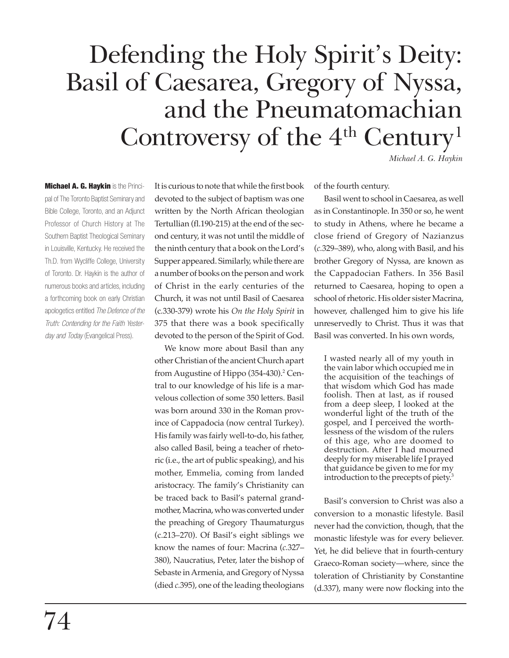# Defending the Holy Spirit's Deity: Basil of Caesarea, Gregory of Nyssa, and the Pneumatomachian Controversy of the 4<sup>th</sup> Century<sup>1</sup>

*Michael A. G. Haykin*

**Michael A. G. Haykin is the Princi**pal of The Toronto Baptist Seminary and Bible College, Toronto, and an Adjunct Professor of Church History at The Southern Baptist Theological Seminary in Louisville, Kentucky. He received the Th.D. from Wycliffe College, University of Toronto. Dr. Haykin is the author of numerous books and articles, including a forthcoming book on early Christian apologetics entitled *The Defence of the Truth: Contending for the Faith Yesterday and Today* (Evangelical Press).

It is curious to note that while the first book devoted to the subject of baptism was one written by the North African theologian Tertullian (fl.190-215) at the end of the second century, it was not until the middle of the ninth century that a book on the Lord's Supper appeared. Similarly, while there are a number of books on the person and work of Christ in the early centuries of the Church, it was not until Basil of Caesarea (c*.*330-379) wrote his *On the Holy Spirit* in 375 that there was a book specifically devoted to the person of the Spirit of God.

We know more about Basil than any other Christian of the ancient Church apart from Augustine of Hippo (354-430).<sup>2</sup> Central to our knowledge of his life is a marvelous collection of some 350 letters. Basil was born around 330 in the Roman province of Cappadocia (now central Turkey). His family was fairly well-to-do, his father, also called Basil, being a teacher of rhetoric (i.e., the art of public speaking), and his mother, Emmelia, coming from landed aristocracy. The family's Christianity can be traced back to Basil's paternal grandmother, Macrina, who was converted under the preaching of Gregory Thaumaturgus (c.213–270). Of Basil's eight siblings we know the names of four: Macrina (*c.*327– 380), Naucratius, Peter, later the bishop of Sebaste in Armenia, and Gregory of Nyssa (died *c.*395), one of the leading theologians

of the fourth century.

Basil went to school in Caesarea, as well as in Constantinople. In 350 or so, he went to study in Athens, where he became a close friend of Gregory of Nazianzus (*c.*329–389), who, along with Basil, and his brother Gregory of Nyssa, are known as the Cappadocian Fathers. In 356 Basil returned to Caesarea, hoping to open a school of rhetoric. His older sister Macrina, however, challenged him to give his life unreservedly to Christ. Thus it was that Basil was converted. In his own words,

I wasted nearly all of my youth in the vain labor which occupied me in the acquisition of the teachings of that wisdom which God has made foolish. Then at last, as if roused from a deep sleep, I looked at the wonderful light of the truth of the gospel, and I perceived the worthlessness of the wisdom of the rulers of this age, who are doomed to destruction. After I had mourned deeply for my miserable life I prayed that guidance be given to me for my introduction to the precepts of piety.3

Basil's conversion to Christ was also a conversion to a monastic lifestyle. Basil never had the conviction, though, that the monastic lifestyle was for every believer. Yet, he did believe that in fourth-century Graeco-Roman society—where, since the toleration of Christianity by Constantine (d.337), many were now flocking into the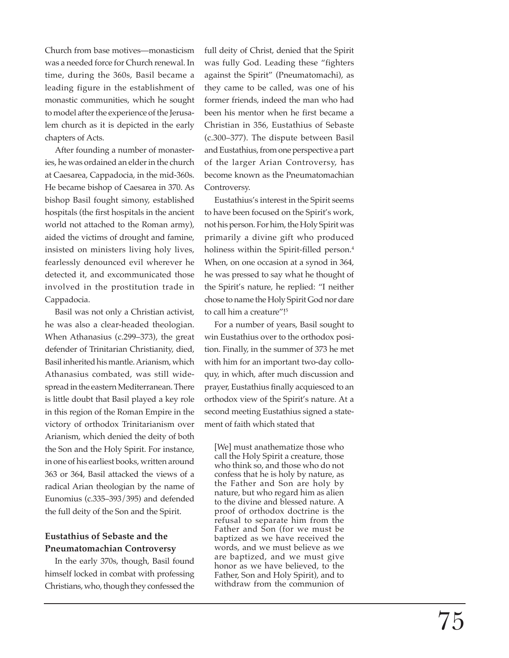Church from base motives—monasticism was a needed force for Church renewal. In time, during the 360s, Basil became a leading figure in the establishment of monastic communities, which he sought to model after the experience of the Jerusalem church as it is depicted in the early chapters of Acts.

After founding a number of monasteries, he was ordained an elder in the church at Caesarea, Cappadocia, in the mid-360s. He became bishop of Caesarea in 370. As bishop Basil fought simony, established hospitals (the first hospitals in the ancient world not attached to the Roman army), aided the victims of drought and famine, insisted on ministers living holy lives, fearlessly denounced evil wherever he detected it, and excommunicated those involved in the prostitution trade in Cappadocia.

Basil was not only a Christian activist, he was also a clear-headed theologian. When Athanasius (c.299–373), the great defender of Trinitarian Christianity, died, Basil inherited his mantle. Arianism, which Athanasius combated, was still widespread in the eastern Mediterranean. There is little doubt that Basil played a key role in this region of the Roman Empire in the victory of orthodox Trinitarianism over Arianism, which denied the deity of both the Son and the Holy Spirit. For instance, in one of his earliest books, written around 363 or 364, Basil attacked the views of a radical Arian theologian by the name of Eunomius (c.335–393/395) and defended the full deity of the Son and the Spirit.

## **Eustathius of Sebaste and the Pneumatomachian Controversy**

In the early 370s, though, Basil found himself locked in combat with professing Christians, who, though they confessed the full deity of Christ, denied that the Spirit was fully God. Leading these "fighters against the Spirit" (Pneumatomachi), as they came to be called, was one of his former friends, indeed the man who had been his mentor when he first became a Christian in 356, Eustathius of Sebaste (c.300–377). The dispute between Basil and Eustathius, from one perspective a part of the larger Arian Controversy, has become known as the Pneumatomachian Controversy.

Eustathius's interest in the Spirit seems to have been focused on the Spirit's work, not his person. For him, the Holy Spirit was primarily a divine gift who produced holiness within the Spirit-filled person.<sup>4</sup> When, on one occasion at a synod in 364, he was pressed to say what he thought of the Spirit's nature, he replied: "I neither chose to name the Holy Spirit God nor dare to call him a creature"!<sup>5</sup>

For a number of years, Basil sought to win Eustathius over to the orthodox position. Finally, in the summer of 373 he met with him for an important two-day colloquy, in which, after much discussion and prayer, Eustathius finally acquiesced to an orthodox view of the Spirit's nature. At a second meeting Eustathius signed a statement of faith which stated that

[We] must anathematize those who call the Holy Spirit a creature, those who think so, and those who do not confess that he is holy by nature, as the Father and Son are holy by nature, but who regard him as alien to the divine and blessed nature. A proof of orthodox doctrine is the refusal to separate him from the Father and Son (for we must be baptized as we have received the words, and we must believe as we are baptized, and we must give honor as we have believed, to the Father, Son and Holy Spirit), and to withdraw from the communion of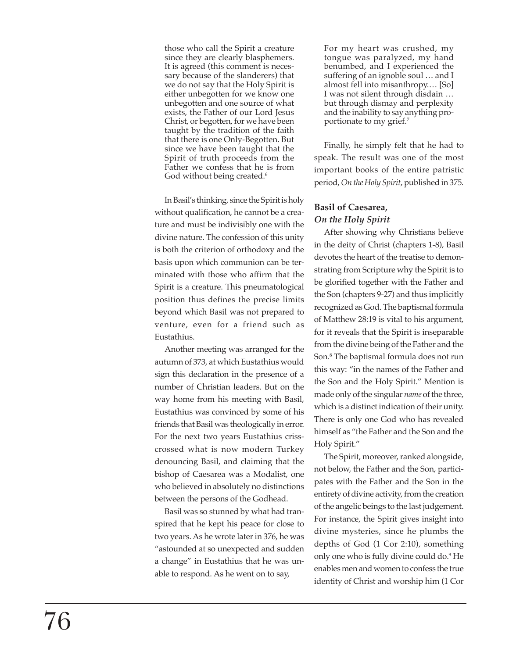those who call the Spirit a creature since they are clearly blasphemers. It is agreed (this comment is necessary because of the slanderers) that we do not say that the Holy Spirit is either unbegotten for we know one unbegotten and one source of what exists, the Father of our Lord Jesus Christ, or begotten, for we have been taught by the tradition of the faith that there is one Only-Begotten. But since we have been taught that the Spirit of truth proceeds from the Father we confess that he is from God without being created. 6

In Basil's thinking, since the Spirit is holy without qualification, he cannot be a creature and must be indivisibly one with the divine nature. The confession of this unity is both the criterion of orthodoxy and the basis upon which communion can be terminated with those who affirm that the Spirit is a creature. This pneumatological position thus defines the precise limits beyond which Basil was not prepared to venture, even for a friend such as Eustathius.

Another meeting was arranged for the autumn of 373, at which Eustathius would sign this declaration in the presence of a number of Christian leaders. But on the way home from his meeting with Basil, Eustathius was convinced by some of his friends that Basil was theologically in error. For the next two years Eustathius crisscrossed what is now modern Turkey denouncing Basil, and claiming that the bishop of Caesarea was a Modalist, one who believed in absolutely no distinctions between the persons of the Godhead.

Basil was so stunned by what had transpired that he kept his peace for close to two years. As he wrote later in 376, he was "astounded at so unexpected and sudden a change" in Eustathius that he was unable to respond. As he went on to say,

For my heart was crushed, my tongue was paralyzed, my hand benumbed, and I experienced the suffering of an ignoble soul … and I almost fell into misanthropy.… [So] I was not silent through disdain … but through dismay and perplexity and the inability to say anything proportionate to my grief.7

Finally, he simply felt that he had to speak. The result was one of the most important books of the entire patristic period, *On the Holy Spirit*, published in 375 *.*

# **Basil of Caesarea,** *On the Holy Spirit*

After showing why Christians believe in the deity of Christ (chapters 1-8), Basil devotes the heart of the treatise to demonstrating from Scripture why the Spirit is to be glorified together with the Father and the Son (chapters 9-27) and thus implicitly recognized as God. The baptismal formula of Matthew 28:19 is vital to his argument, for it reveals that the Spirit is inseparable from the divine being of the Father and the Son. 8 The baptismal formula does not run this way: "in the names of the Father and the Son and the Holy Spirit." Mention is made only of the singular *name* of the three, which is a distinct indication of their unity. There is only one God who has revealed himself as "the Father and the Son and the Holy Spirit."

The Spirit, moreover, ranked alongside, not below, the Father and the Son, participates with the Father and the Son in the entirety of divine activity, from the creation of the angelic beings to the last judgement. For instance, the Spirit gives insight into divine mysteries, since he plumbs the depths of God (1 Cor 2:10), something only one who is fully divine could do. 9 He enables men and women to confess the true identity of Christ and worship him (1 Cor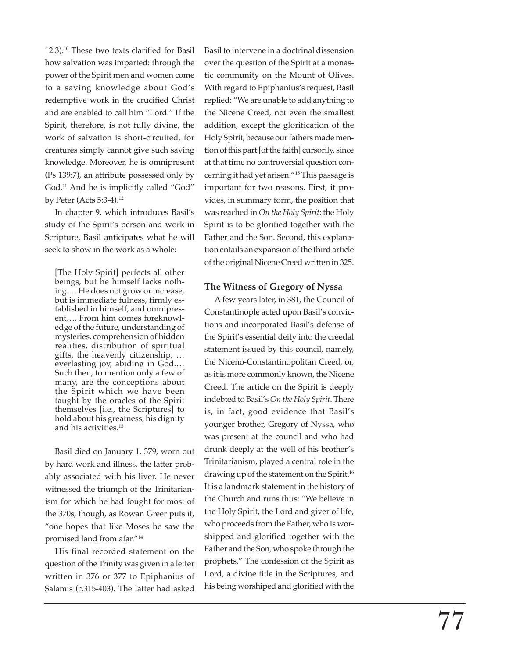12:3).10 These two texts clarified for Basil how salvation was imparted: through the power of the Spirit men and women come to a saving knowledge about God's redemptive work in the crucified Christ and are enabled to call him "Lord." If the Spirit, therefore, is not fully divine, the work of salvation is short-circuited, for creatures simply cannot give such saving knowledge. Moreover, he is omnipresent (Ps 139:7), an attribute possessed only by God.<sup>11</sup> And he is implicitly called "God" by Peter (Acts 5:3-4).12

In chapter 9, which introduces Basil's study of the Spirit's person and work in Scripture, Basil anticipates what he will seek to show in the work as a whole:

[The Holy Spirit] perfects all other beings, but he himself lacks nothing.… He does not grow or increase, but is immediate fulness, firmly established in himself, and omnipresent…. From him comes foreknowledge of the future, understanding of mysteries, comprehension of hidden realities, distribution of spiritual gifts, the heavenly citizenship, … everlasting joy, abiding in God.… Such then, to mention only a few of many, are the conceptions about the Spirit which we have been taught by the oracles of the Spirit themselves [i.e., the Scriptures] to hold about his greatness, his dignity and his activities.13

Basil died on January 1, 379, worn out by hard work and illness, the latter probably associated with his liver. He never witnessed the triumph of the Trinitarianism for which he had fought for most of the 370s, though, as Rowan Greer puts it, "one hopes that like Moses he saw the promised land from afar."14

His final recorded statement on the question of the Trinity was given in a letter written in 376 or 377 to Epiphanius of Salamis ( *c*.315-403). The latter had asked

Basil to intervene in a doctrinal dissension over the question of the Spirit at a monastic community on the Mount of Olives. With regard to Epiphanius's request, Basil replied: "We are unable to add anything to the Nicene Creed, not even the smallest addition, except the glorification of the Holy Spirit, because our fathers made mention of this part [of the faith] cursorily, since at that time no controversial question concerning it had yet arisen."15 This passage is important for two reasons. First, it provides, in summary form, the position that was reached in *On the Holy Spirit*: the Holy Spirit is to be glorified together with the Father and the Son. Second, this explanation entails an expansion of the third article of the original Nicene Creed written in 325.

### **The Witness of Gregory of Nyssa**

A few years later, in 381, the Council of Constantinople acted upon Basil's convictions and incorporated Basil's defense of the Spirit's essential deity into the creedal statement issued by this council, namely, the Niceno-Constantinopolitan Creed, or, as it is more commonly known, the Nicene Creed. The article on the Spirit is deeply indebted to Basil's *On the Holy Spirit*. There is, in fact, good evidence that Basil's younger brother, Gregory of Nyssa, who was present at the council and who had drunk deeply at the well of his brother's Trinitarianism, played a central role in the drawing up of the statement on the Spirit.<sup>16</sup> It is a landmark statement in the history of the Church and runs thus: "We believe in the Holy Spirit, the Lord and giver of life, who proceeds from the Father, who is worshipped and glorified together with the Father and the Son, who spoke through the prophets." The confession of the Spirit as Lord, a divine title in the Scriptures, and his being worshiped and glorified with the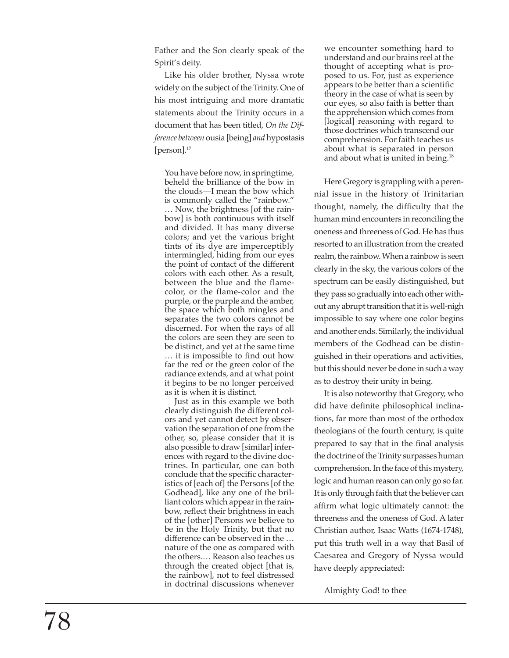Father and the Son clearly speak of the Spirit's deity.

Like his older brother, Nyssa wrote widely on the subject of the Trinity. One of his most intriguing and more dramatic statements about the Trinity occurs in a document that has been titled, *On the Difference between* ousia [being] *and* hypostasis [person].<sup>17</sup>

You have before now, in springtime, beheld the brilliance of the bow in the clouds—I mean the bow which is commonly called the "rainbow." … Now, the brightness [of the rainbow] is both continuous with itself and divided. It has many diverse colors; and yet the various bright tints of its dye are imperceptibly intermingled, hiding from our eyes the point of contact of the different colors with each other. As a result, between the blue and the flamecolor, or the flame-color and the purple, or the purple and the amber, the space which both mingles and separates the two colors cannot be discerned. For when the rays of all the colors are seen they are seen to be distinct, and yet at the same time … it is impossible to find out how far the red or the green color of the radiance extends, and at what point it begins to be no longer perceived as it is when it is distinct.

Just as in this example we both clearly distinguish the different colors and yet cannot detect by observation the separation of one from the other, so, please consider that it is also possible to draw [similar] inferences with regard to the divine doctrines. In particular, one can both conclude that the specific characteristics of [each of] the Persons [of the Godhead], like any one of the brilliant colors which appear in the rainbow, reflect their brightness in each of the [other] Persons we believe to be in the Holy Trinity, but that no difference can be observed in the … nature of the one as compared with the others.… Reason also teaches us through the created object [that is, the rainbow], not to feel distressed in doctrinal discussions whenever

we encounter something hard to understand and our brains reel at the thought of accepting what is proposed to us. For, just as experience appears to be better than a scientific theory in the case of what is seen by our eyes, so also faith is better than the apprehension which comes from [logical] reasoning with regard to those doctrines which transcend our comprehension. For faith teaches us about what is separated in person and about what is united in being.18

Here Gregory is grappling with a perennial issue in the history of Trinitarian thought, namely, the difficulty that the human mind encounters in reconciling the oneness and threeness of God. He has thus resorted to an illustration from the created realm, the rainbow. When a rainbow is seen clearly in the sky, the various colors of the spectrum can be easily distinguished, but they pass so gradually into each other without any abrupt transition that it is well-nigh impossible to say where one color begins and another ends. Similarly, the individual members of the Godhead can be distinguished in their operations and activities, but this should never be done in such a way as to destroy their unity in being.

It is also noteworthy that Gregory, who did have definite philosophical inclinations, far more than most of the orthodox theologians of the fourth century, is quite prepared to say that in the final analysis the doctrine of the Trinity surpasses human comprehension. In the face of this mystery, logic and human reason can only go so far. It is only through faith that the believer can affirm what logic ultimately cannot: the threeness and the oneness of God. A later Christian author, Isaac Watts (1674-1748), put this truth well in a way that Basil of Caesarea and Gregory of Nyssa would have deeply appreciated:

Almighty God! to thee